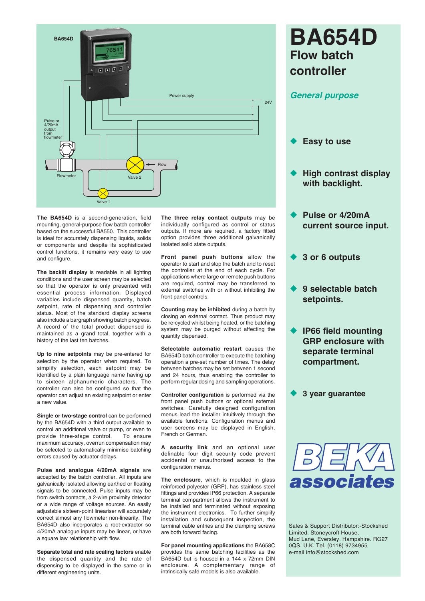

**The BA654D** is a second-generation, field mounting, general-purpose flow batch controller based on the successful BA550. This controller is ideal for accurately dispensing liquids, solids or components and despite its sophisticated control functions, it remains very easy to use and configure.

**The backlit display** is readable in all lighting conditions and the user screen may be selected so that the operator is only presented with essential process information. Displayed variables include dispensed quantity, batch setpoint, rate of dispensing and controller status. Most of the standard display screens also include a bargraph showing batch progress. A record of the total product dispensed is maintained as a grand total, together with a history of the last ten batches.

**Up to nine setpoints** may be pre-entered for selection by the operator when required. To simplify selection, each setpoint may be identified by a plain language name having up to sixteen alphanumeric characters. The controller can also be configured so that the operator can adjust an existing setpoint or enter a new value.

**Single or two-stage control** can be performed by the BA654D with a third output available to control an additional valve or pump, or even to provide three-stage control. To ensure maximum accuracy, overrun compensation may be selected to automatically minimise batching errors caused by actuator delays.

**Pulse and analogue 4/20mA signals** are accepted by the batch controller. All inputs are galvanically isolated allowing earthed or floating signals to be connected. Pulse inputs may be from switch contacts, a 2-wire proximity detector or a wide range of voltage sources. An easily adjustable sixteen-point lineariser will accurately correct almost any flowmeter non-linearity. The BA654D also incorporates a root-extractor so 4/20mA analogue inputs may be linear, or have a square law relationship with flow.

**Separate total and rate scaling factors** enable the dispensed quantity and the rate of dispensing to be displayed in the same or in different engineering units.

**The three relay contact outputs** may be individually configured as control or status outputs. If more are required, a factory fitted option provides three additional galvanically isolated solid state outputs.

**Front panel push buttons** allow the operator to start and stop the batch and to reset the controller at the end of each cycle. For applications where large or remote push buttons are required, control may be transferred to external switches with or without inhibiting the front panel controls.

**Counting may be inhibited** during a batch by closing an external contact. Thus product may be re-cycled whilst being heated, or the batching system may be purged without affecting the quantity dispensed.

**Selectable automatic restart** causes the BA654D batch controller to execute the batching operation a pre-set number of times. The delay between batches may be set between 1 second and 24 hours, thus enabling the controller to perform regular dosing and sampling operations.

**Controller configuration** is performed via the front panel push buttons or optional external switches. Carefully designed configuration menus lead the installer intuitively through the available functions. Configuration menus and user screens may be displayed in English, French or German.

**A security link** and an optional user definable four digit security code prevent accidental or unauthorised access to the configuration menus.

**The enclosure**, which is moulded in glass reinforced polyester (GRP), has stainless steel fittings and provides IP66 protection. A separate terminal compartment allows the instrument to be installed and terminated without exposing the instrument electronics. To further simplify installation and subsequent inspection, the terminal cable entries and the clamping screws are both forward facing.

**For panel mounting applications** the BA658C provides the same batching facilities as the BA654D but is housed in a 144 x 72mm DIN enclosure. A complementary range of intrinsically safe models is also available.

# **BA654D Flow batch controller**

## *General purpose*

- **Easy to use**
- **High contrast display with backlight.**
- **Pulse or 4/20mA current source input.**
- u **3 or 6 outputs**
- **9 selectable batch setpoints.**
- u **IP66 field mounting GRP enclosure with separate terminal compartment.**

**3 year guarantee** 



Sales & Support Distributor:-Stockshed Limited. Stoneycroft House, Mud Lane, Eversley. Hampshire. RG27 0QS. U.K. Tel. (0118) 9734955 e-mail info@stockshed.com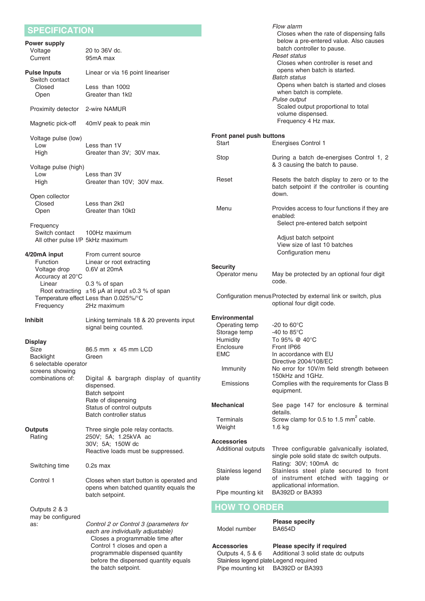| <b>SPECIFICATION</b>                             |                                                                                                                               |                                                                                                       | Flow alarm<br>Closes when the rate of dispensing falls                                                  |
|--------------------------------------------------|-------------------------------------------------------------------------------------------------------------------------------|-------------------------------------------------------------------------------------------------------|---------------------------------------------------------------------------------------------------------|
| <b>Power supply</b><br>Voltage                   | 20 to 36V dc.                                                                                                                 |                                                                                                       | below a pre-entered value. Also causes<br>batch controller to pause.                                    |
| Current                                          | 95mA max                                                                                                                      |                                                                                                       | <b>Reset status</b><br>Closes when controller is reset and                                              |
| <b>Pulse Inputs</b><br>Switch contact            | Linear or via 16 point lineariser                                                                                             |                                                                                                       | opens when batch is started.<br><b>Batch status</b>                                                     |
| Closed<br>Open                                   | Less than $100\Omega$<br>Greater than $1k\Omega$                                                                              |                                                                                                       | Opens when batch is started and closes<br>when batch is complete.<br>Pulse output                       |
| Proximity detector                               | 2-wire NAMUR                                                                                                                  |                                                                                                       | Scaled output proportional to total<br>volume dispensed.                                                |
| Magnetic pick-off                                | 40mV peak to peak min                                                                                                         |                                                                                                       | Frequency 4 Hz max.                                                                                     |
| Voltage pulse (low)<br>Low                       | Less than 1V                                                                                                                  | Front panel push buttons<br>Start                                                                     | <b>Energises Control 1</b>                                                                              |
| High                                             | Greater than 3V; 30V max.                                                                                                     | Stop                                                                                                  | During a batch de-energises Control 1, 2                                                                |
| Voltage pulse (high)                             | Less than 3V                                                                                                                  |                                                                                                       | & 3 causing the batch to pause.                                                                         |
| Low<br>High                                      | Greater than 10V; 30V max.                                                                                                    | Reset                                                                                                 | Resets the batch display to zero or to the<br>batch setpoint if the controller is counting<br>down.     |
| Open collector<br>Closed                         | Less than $2k\Omega$                                                                                                          |                                                                                                       |                                                                                                         |
| Open<br>Frequency                                | Greater than $10k\Omega$                                                                                                      | Menu                                                                                                  | Provides access to four functions if they are<br>enabled:<br>Select pre-entered batch setpoint          |
| Switch contact                                   | 100Hz maximum                                                                                                                 |                                                                                                       | Adjust batch setpoint                                                                                   |
| All other pulse I/P 5kHz maximum<br>4/20mA input | From current source                                                                                                           |                                                                                                       | View size of last 10 batches<br>Configuration menu                                                      |
| <b>Function</b>                                  | Linear or root extracting                                                                                                     | <b>Security</b>                                                                                       |                                                                                                         |
| Voltage drop<br>Accuracy at 20°C                 | 0.6V at 20mA                                                                                                                  | Operator menu                                                                                         | May be protected by an optional four digit<br>code.                                                     |
| Linear                                           | $0.3 %$ of span<br>Root extracting $\pm 16$ µA at input $\pm 0.3$ % of span                                                   |                                                                                                       |                                                                                                         |
| Frequency                                        | Temperature effect Less than 0.025%/°C<br>2Hz maximum                                                                         |                                                                                                       | Configuration menus Protected by external link or switch, plus<br>optional four digit code.             |
| <b>Inhibit</b>                                   | Linking terminals 18 & 20 prevents input                                                                                      | <b>Environmental</b>                                                                                  |                                                                                                         |
|                                                  | signal being counted.                                                                                                         | Operating temp<br>Storage temp<br>Humidity                                                            | $-20$ to $60^{\circ}$ C<br>-40 to $85^{\circ}$ C<br>To 95% @ 40°C                                       |
| <b>Display</b><br>Size                           | 86.5 mm x 45 mm LCD                                                                                                           | Enclosure                                                                                             | Front IP66                                                                                              |
| <b>Backlight</b>                                 | Green                                                                                                                         | <b>EMC</b>                                                                                            | In accordance with EU<br>Directive 2004/108/EC                                                          |
| 6 selectable operator<br>screens showing         |                                                                                                                               | Immunity                                                                                              | No error for 10V/m field strength between<br>150kHz and 1GHz.                                           |
| combinations of:                                 | Digital & bargraph display of quantity<br>dispensed.<br>Batch setpoint                                                        | Emissions                                                                                             | Complies with the requirements for Class B<br>equipment.                                                |
|                                                  | Rate of dispensing<br>Status of control outputs                                                                               | <b>Mechanical</b>                                                                                     | See page 147 for enclosure & terminal                                                                   |
|                                                  | Batch controller status                                                                                                       | Terminals                                                                                             | details.<br>Screw clamp for 0.5 to 1.5 mm <sup>2</sup> cable.                                           |
| Outputs                                          | Three single pole relay contacts.                                                                                             | Weight                                                                                                | 1.6 kg                                                                                                  |
| Rating                                           | 250V; 5A; 1.25kVA ac                                                                                                          | <b>Accessories</b>                                                                                    |                                                                                                         |
|                                                  | 30V; 5A; 150W dc<br>Reactive loads must be suppressed.                                                                        | Additional outputs                                                                                    | Three configurable galvanically isolated,<br>single pole solid state dc switch outputs.                 |
| Switching time                                   | $0.2s$ max                                                                                                                    | Stainless legend                                                                                      | Rating: 30V; 100mA dc<br>Stainless steel plate secured to front<br>of instrument etched with tagging or |
| Control 1                                        | Closes when start button is operated and<br>opens when batched quantity equals the<br>batch setpoint.                         | plate<br>Pipe mounting kit                                                                            | applicational information.<br>BA392D or BA393                                                           |
| Outputs 2 & 3                                    |                                                                                                                               | <b>HOW TO ORDER</b>                                                                                   |                                                                                                         |
| may be configured                                |                                                                                                                               |                                                                                                       |                                                                                                         |
| as:                                              | Control 2 or Control 3 (parameters for<br>each are individually adjustable)<br>Closes a programmable time after               | Model number                                                                                          | <b>Please specify</b><br><b>BA654D</b>                                                                  |
|                                                  | Control 1 closes and open a<br>programmable dispensed quantity<br>before the dispensed quantity equals<br>the batch setpoint. | <b>Accessories</b><br>Outputs 4, 5 & 6<br>Stainless legend plate Legend required<br>Pipe mounting kit | Please specify if required<br>Additional 3 solid state dc outputs<br>BA392D or BA393                    |